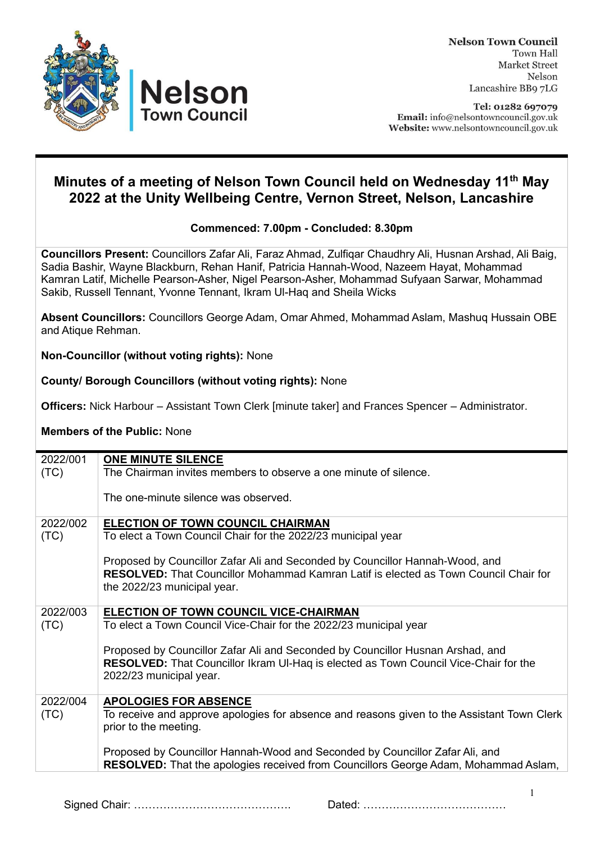

**Nelson Town Council Town Hall** Market Street Nelson Lancashire BB9 7LG

Tel: 01282 697079 Email: info@nelsontowncouncil.gov.uk Website: www.nelsontowncouncil.gov.uk

## **Minutes of a meeting of Nelson Town Council held on Wednesday 11 th May 2022 at the Unity Wellbeing Centre, Vernon Street, Nelson, Lancashire**

## **Commenced: 7.00pm - Concluded: 8.30pm**

**Councillors Present:** Councillors Zafar Ali, Faraz Ahmad, Zulfiqar Chaudhry Ali, Husnan Arshad, Ali Baig, Sadia Bashir, Wayne Blackburn, Rehan Hanif, Patricia Hannah-Wood, Nazeem Hayat, Mohammad Kamran Latif, Michelle Pearson-Asher, Nigel Pearson-Asher, Mohammad Sufyaan Sarwar, Mohammad Sakib, Russell Tennant, Yvonne Tennant, Ikram Ul-Haq and Sheila Wicks

**Absent Councillors:** Councillors George Adam, Omar Ahmed, Mohammad Aslam, Mashuq Hussain OBE and Atique Rehman.

**Non-Councillor (without voting rights):** None

## **County/ Borough Councillors (without voting rights):** None

**Officers:** Nick Harbour – Assistant Town Clerk [minute taker] and Frances Spencer – Administrator.

## **Members of the Public:** None

| 2022/001 | <b>ONE MINUTE SILENCE</b>                                                                                                                                                                                  |
|----------|------------------------------------------------------------------------------------------------------------------------------------------------------------------------------------------------------------|
| (TC)     | The Chairman invites members to observe a one minute of silence.                                                                                                                                           |
|          | The one-minute silence was observed.                                                                                                                                                                       |
| 2022/002 | ELECTION OF TOWN COUNCIL CHAIRMAN                                                                                                                                                                          |
| (TC)     | To elect a Town Council Chair for the 2022/23 municipal year                                                                                                                                               |
|          | Proposed by Councillor Zafar Ali and Seconded by Councillor Hannah-Wood, and<br><b>RESOLVED:</b> That Councillor Mohammad Kamran Latif is elected as Town Council Chair for<br>the 2022/23 municipal year. |
| 2022/003 | <b>ELECTION OF TOWN COUNCIL VICE-CHAIRMAN</b>                                                                                                                                                              |
| (TC)     | To elect a Town Council Vice-Chair for the 2022/23 municipal year                                                                                                                                          |
|          | Proposed by Councillor Zafar Ali and Seconded by Councillor Husnan Arshad, and<br>RESOLVED: That Councillor Ikram UI-Haq is elected as Town Council Vice-Chair for the<br>2022/23 municipal year.          |
| 2022/004 | <b>APOLOGIES FOR ABSENCE</b>                                                                                                                                                                               |
| (TC)     | To receive and approve apologies for absence and reasons given to the Assistant Town Clerk<br>prior to the meeting.                                                                                        |
|          | Proposed by Councillor Hannah-Wood and Seconded by Councillor Zafar Ali, and                                                                                                                               |
|          | <b>RESOLVED:</b> That the apologies received from Councillors George Adam, Mohammad Aslam,                                                                                                                 |
|          |                                                                                                                                                                                                            |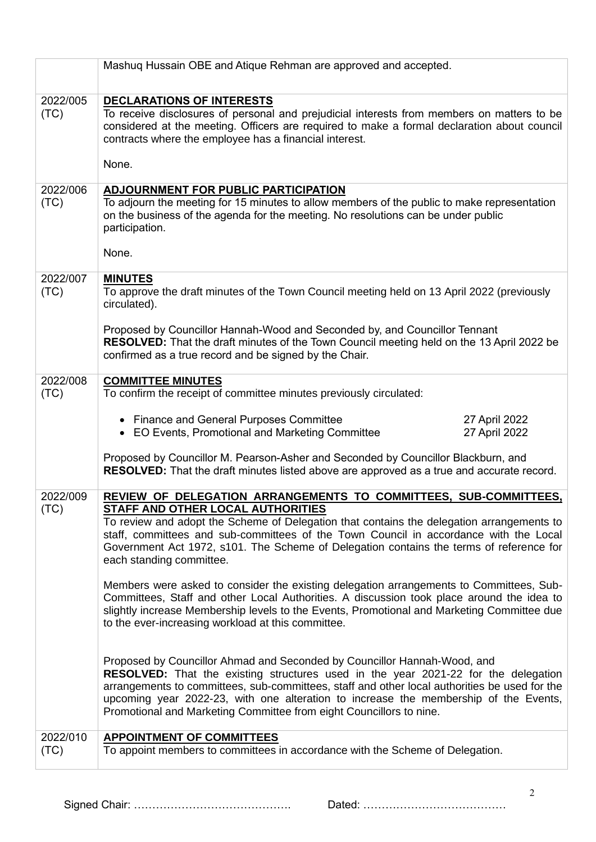|                  | Mashuq Hussain OBE and Atique Rehman are approved and accepted.                                                                                                                                                                                                                                                                                                                                                                       |
|------------------|---------------------------------------------------------------------------------------------------------------------------------------------------------------------------------------------------------------------------------------------------------------------------------------------------------------------------------------------------------------------------------------------------------------------------------------|
| 2022/005<br>(TC) | <b>DECLARATIONS OF INTERESTS</b><br>To receive disclosures of personal and prejudicial interests from members on matters to be<br>considered at the meeting. Officers are required to make a formal declaration about council<br>contracts where the employee has a financial interest.                                                                                                                                               |
|                  | None.                                                                                                                                                                                                                                                                                                                                                                                                                                 |
| 2022/006<br>(TC) | <b>ADJOURNMENT FOR PUBLIC PARTICIPATION</b><br>To adjourn the meeting for 15 minutes to allow members of the public to make representation<br>on the business of the agenda for the meeting. No resolutions can be under public<br>participation.                                                                                                                                                                                     |
|                  | None.                                                                                                                                                                                                                                                                                                                                                                                                                                 |
| 2022/007<br>(TC) | <b>MINUTES</b><br>To approve the draft minutes of the Town Council meeting held on 13 April 2022 (previously<br>circulated).                                                                                                                                                                                                                                                                                                          |
|                  | Proposed by Councillor Hannah-Wood and Seconded by, and Councillor Tennant<br>RESOLVED: That the draft minutes of the Town Council meeting held on the 13 April 2022 be<br>confirmed as a true record and be signed by the Chair.                                                                                                                                                                                                     |
| 2022/008<br>(TC) | <b>COMMITTEE MINUTES</b><br>To confirm the receipt of committee minutes previously circulated:                                                                                                                                                                                                                                                                                                                                        |
|                  | • Finance and General Purposes Committee<br>27 April 2022<br>• EO Events, Promotional and Marketing Committee<br>27 April 2022                                                                                                                                                                                                                                                                                                        |
|                  | Proposed by Councillor M. Pearson-Asher and Seconded by Councillor Blackburn, and<br>RESOLVED: That the draft minutes listed above are approved as a true and accurate record.                                                                                                                                                                                                                                                        |
| 2022/009<br>(TC) | REVIEW OF DELEGATION ARRANGEMENTS TO COMMITTEES, SUB-COMMITTEES,<br>STAFF AND OTHER LOCAL AUTHORITIES                                                                                                                                                                                                                                                                                                                                 |
|                  | To review and adopt the Scheme of Delegation that contains the delegation arrangements to<br>staff, committees and sub-committees of the Town Council in accordance with the Local<br>Government Act 1972, s101. The Scheme of Delegation contains the terms of reference for<br>each standing committee.                                                                                                                             |
|                  | Members were asked to consider the existing delegation arrangements to Committees, Sub-<br>Committees, Staff and other Local Authorities. A discussion took place around the idea to<br>slightly increase Membership levels to the Events, Promotional and Marketing Committee due<br>to the ever-increasing workload at this committee.                                                                                              |
|                  | Proposed by Councillor Ahmad and Seconded by Councillor Hannah-Wood, and<br><b>RESOLVED:</b> That the existing structures used in the year 2021-22 for the delegation<br>arrangements to committees, sub-committees, staff and other local authorities be used for the<br>upcoming year 2022-23, with one alteration to increase the membership of the Events,<br>Promotional and Marketing Committee from eight Councillors to nine. |
| 2022/010         | <b>APPOINTMENT OF COMMITTEES</b>                                                                                                                                                                                                                                                                                                                                                                                                      |
| (TC)             | To appoint members to committees in accordance with the Scheme of Delegation.                                                                                                                                                                                                                                                                                                                                                         |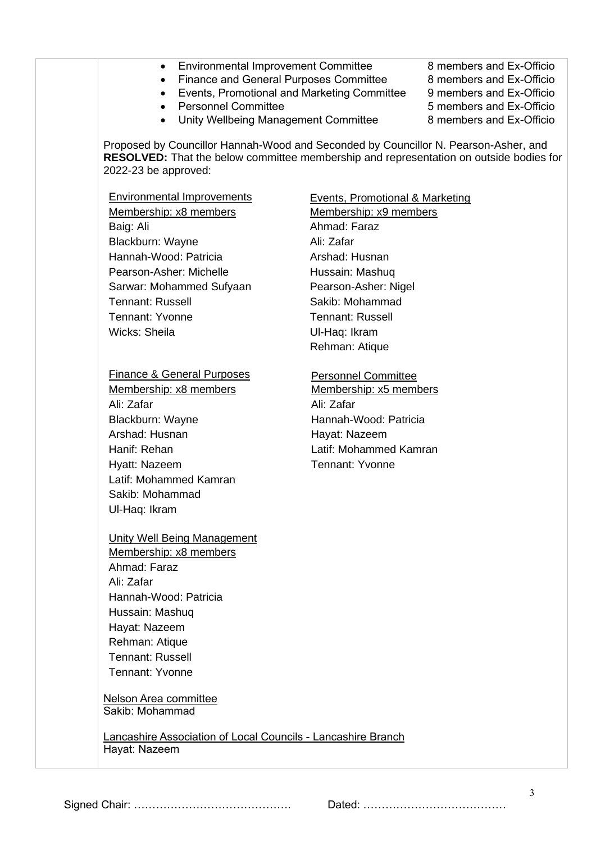• Environmental Improvement Committee 8 members and Ex-Officio • Finance and General Purposes Committee 8 members and Ex-Officio • Events, Promotional and Marketing Committee 9 members and Ex-Officio • Personnel Committee 6 members and Ex-Officio • Unity Wellbeing Management Committee 8 members and Ex-Officio Proposed by Councillor Hannah-Wood and Seconded by Councillor N. Pearson-Asher, and **RESOLVED:** That the below committee membership and representation on outside bodies for 2022-23 be approved: Environmental Improvements Events, Promotional & Marketing Membership: x8 members Membership: x9 members Baig: Ali **Baig: Ali Ahmad: Faraz** Blackburn: Wayne Ali: Zafar Hannah-Wood: Patricia **Arshad: Husnan** Pearson-Asher: Michelle Hussain: Mashuq Sarwar: Mohammed Sufyaan Pearson-Asher: Nigel Tennant: Russell **Sakib: Mohammad** Tennant: Yvonne Tennant: Russell Wicks: Sheila **Wicks: Sheila** Ul-Haq: Ikram Rehman: Atique Finance & General Purposes Personnel Committee Membership: x8 members Membership: x5 members Ali: Zafar Ali: Zafar Blackburn: Wayne Hannah-Wood: Patricia Arshad: Husnan **Hayat: Nazeem** Hanif: Rehan Latif: Mohammed Kamran Hyatt: Nazeem Tennant: Yvonne Latif: Mohammed Kamran Sakib: Mohammad Ul-Haq: Ikram Unity Well Being Management Membership: x8 members Ahmad: Faraz Ali: Zafar Hannah-Wood: Patricia Hussain: Mashuq Hayat: Nazeem Rehman: Atique Tennant: Russell Tennant: Yvonne Nelson Area committee Sakib: Mohammad Lancashire Association of Local Councils - Lancashire Branch Hayat: Nazeem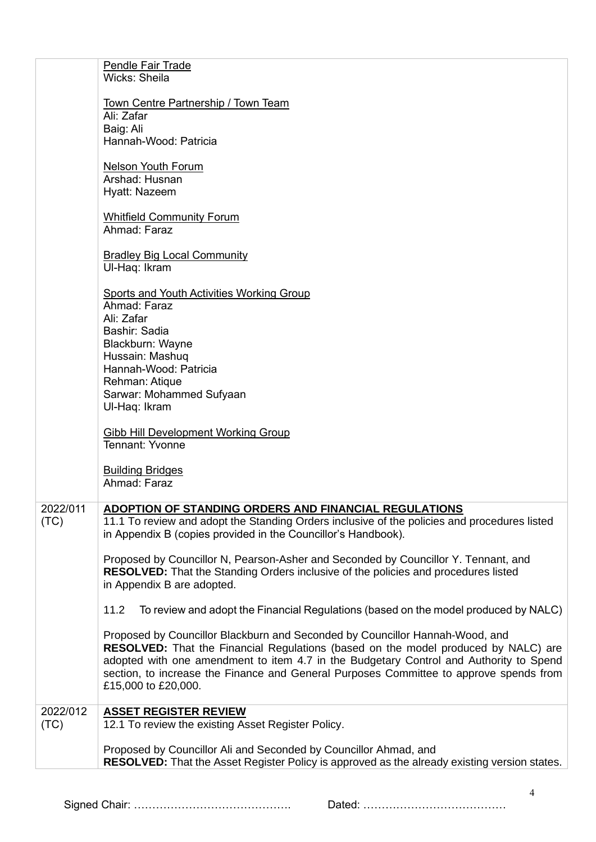|                  | <b>Pendle Fair Trade</b><br>Wicks: Sheila                                                                                                                                                                                                                                                                                                                                            |
|------------------|--------------------------------------------------------------------------------------------------------------------------------------------------------------------------------------------------------------------------------------------------------------------------------------------------------------------------------------------------------------------------------------|
|                  | Town Centre Partnership / Town Team<br>Ali: Zafar<br>Baig: Ali<br>Hannah-Wood: Patricia                                                                                                                                                                                                                                                                                              |
|                  | <b>Nelson Youth Forum</b><br>Arshad: Husnan<br>Hyatt: Nazeem                                                                                                                                                                                                                                                                                                                         |
|                  | <b>Whitfield Community Forum</b><br>Ahmad: Faraz                                                                                                                                                                                                                                                                                                                                     |
|                  | <b>Bradley Big Local Community</b><br>Ul-Haq: Ikram                                                                                                                                                                                                                                                                                                                                  |
|                  | Sports and Youth Activities Working Group<br>Ahmad: Faraz<br>Ali: Zafar<br>Bashir: Sadia<br>Blackburn: Wayne<br>Hussain: Mashuq<br>Hannah-Wood: Patricia<br>Rehman: Atique<br>Sarwar: Mohammed Sufyaan                                                                                                                                                                               |
|                  | Ul-Haq: Ikram<br>Gibb Hill Development Working Group<br>Tennant: Yvonne<br><b>Building Bridges</b><br>Ahmad: Faraz                                                                                                                                                                                                                                                                   |
| 2022/011<br>(TC) | ADOPTION OF STANDING ORDERS AND FINANCIAL REGULATIONS<br>11.1 To review and adopt the Standing Orders inclusive of the policies and procedures listed<br>in Appendix B (copies provided in the Councillor's Handbook).                                                                                                                                                               |
|                  | Proposed by Councillor N, Pearson-Asher and Seconded by Councillor Y. Tennant, and<br><b>RESOLVED:</b> That the Standing Orders inclusive of the policies and procedures listed<br>in Appendix B are adopted.                                                                                                                                                                        |
|                  | To review and adopt the Financial Regulations (based on the model produced by NALC)<br>11.2                                                                                                                                                                                                                                                                                          |
|                  | Proposed by Councillor Blackburn and Seconded by Councillor Hannah-Wood, and<br><b>RESOLVED:</b> That the Financial Regulations (based on the model produced by NALC) are<br>adopted with one amendment to item 4.7 in the Budgetary Control and Authority to Spend<br>section, to increase the Finance and General Purposes Committee to approve spends from<br>£15,000 to £20,000. |
| 2022/012<br>(TC) | <b>ASSET REGISTER REVIEW</b><br>12.1 To review the existing Asset Register Policy.                                                                                                                                                                                                                                                                                                   |
|                  | Proposed by Councillor Ali and Seconded by Councillor Ahmad, and<br>RESOLVED: That the Asset Register Policy is approved as the already existing version states.                                                                                                                                                                                                                     |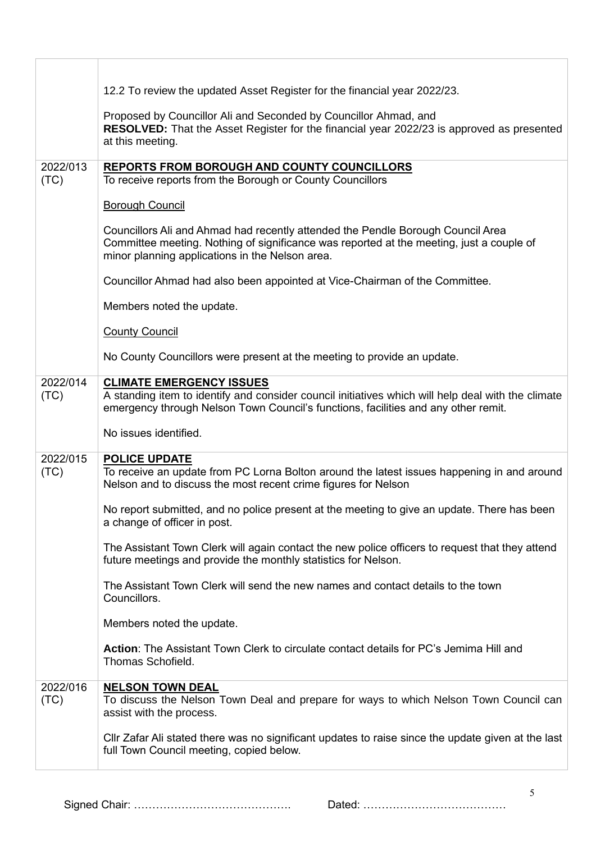|                  | 12.2 To review the updated Asset Register for the financial year 2022/23.                                                                                                                                                      |
|------------------|--------------------------------------------------------------------------------------------------------------------------------------------------------------------------------------------------------------------------------|
|                  | Proposed by Councillor Ali and Seconded by Councillor Ahmad, and<br>RESOLVED: That the Asset Register for the financial year 2022/23 is approved as presented<br>at this meeting.                                              |
| 2022/013         | <b>REPORTS FROM BOROUGH AND COUNTY COUNCILLORS</b>                                                                                                                                                                             |
| (TC)             | To receive reports from the Borough or County Councillors                                                                                                                                                                      |
|                  | <b>Borough Council</b>                                                                                                                                                                                                         |
|                  | Councillors Ali and Ahmad had recently attended the Pendle Borough Council Area<br>Committee meeting. Nothing of significance was reported at the meeting, just a couple of<br>minor planning applications in the Nelson area. |
|                  | Councillor Ahmad had also been appointed at Vice-Chairman of the Committee.                                                                                                                                                    |
|                  | Members noted the update.                                                                                                                                                                                                      |
|                  | <b>County Council</b>                                                                                                                                                                                                          |
|                  | No County Councillors were present at the meeting to provide an update.                                                                                                                                                        |
| 2022/014         | <b>CLIMATE EMERGENCY ISSUES</b>                                                                                                                                                                                                |
| (TC)             | A standing item to identify and consider council initiatives which will help deal with the climate<br>emergency through Nelson Town Council's functions, facilities and any other remit.                                       |
|                  |                                                                                                                                                                                                                                |
|                  | No issues identified.                                                                                                                                                                                                          |
|                  |                                                                                                                                                                                                                                |
| 2022/015<br>(TC) | <b>POLICE UPDATE</b><br>To receive an update from PC Lorna Bolton around the latest issues happening in and around<br>Nelson and to discuss the most recent crime figures for Nelson                                           |
|                  | No report submitted, and no police present at the meeting to give an update. There has been<br>a change of officer in post.                                                                                                    |
|                  | The Assistant Town Clerk will again contact the new police officers to request that they attend<br>future meetings and provide the monthly statistics for Nelson.                                                              |
|                  | The Assistant Town Clerk will send the new names and contact details to the town<br>Councillors.                                                                                                                               |
|                  | Members noted the update.                                                                                                                                                                                                      |
|                  | Action: The Assistant Town Clerk to circulate contact details for PC's Jemima Hill and<br>Thomas Schofield.                                                                                                                    |
| 2022/016<br>(TC) | <b>NELSON TOWN DEAL</b><br>To discuss the Nelson Town Deal and prepare for ways to which Nelson Town Council can<br>assist with the process.                                                                                   |
|                  | CIIr Zafar Ali stated there was no significant updates to raise since the update given at the last<br>full Town Council meeting, copied below.                                                                                 |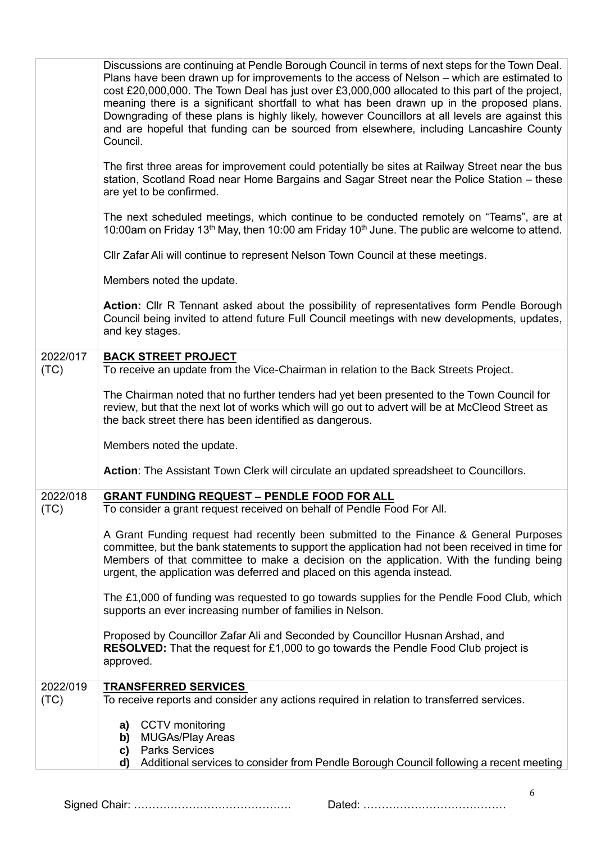|                  | Discussions are continuing at Pendle Borough Council in terms of next steps for the Town Deal.<br>Plans have been drawn up for improvements to the access of Nelson – which are estimated to<br>cost £20,000,000. The Town Deal has just over £3,000,000 allocated to this part of the project,<br>meaning there is a significant shortfall to what has been drawn up in the proposed plans.<br>Downgrading of these plans is highly likely, however Councillors at all levels are against this<br>and are hopeful that funding can be sourced from elsewhere, including Lancashire County<br>Council. |
|------------------|--------------------------------------------------------------------------------------------------------------------------------------------------------------------------------------------------------------------------------------------------------------------------------------------------------------------------------------------------------------------------------------------------------------------------------------------------------------------------------------------------------------------------------------------------------------------------------------------------------|
|                  | The first three areas for improvement could potentially be sites at Railway Street near the bus<br>station, Scotland Road near Home Bargains and Sagar Street near the Police Station - these<br>are yet to be confirmed.                                                                                                                                                                                                                                                                                                                                                                              |
|                  | The next scheduled meetings, which continue to be conducted remotely on "Teams", are at<br>10:00am on Friday 13 <sup>th</sup> May, then 10:00 am Friday 10 <sup>th</sup> June. The public are welcome to attend.                                                                                                                                                                                                                                                                                                                                                                                       |
|                  | CIIr Zafar Ali will continue to represent Nelson Town Council at these meetings.                                                                                                                                                                                                                                                                                                                                                                                                                                                                                                                       |
|                  | Members noted the update.                                                                                                                                                                                                                                                                                                                                                                                                                                                                                                                                                                              |
|                  | Action: Cllr R Tennant asked about the possibility of representatives form Pendle Borough<br>Council being invited to attend future Full Council meetings with new developments, updates,<br>and key stages.                                                                                                                                                                                                                                                                                                                                                                                           |
| 2022/017<br>(TC) | <b>BACK STREET PROJECT</b><br>To receive an update from the Vice-Chairman in relation to the Back Streets Project.                                                                                                                                                                                                                                                                                                                                                                                                                                                                                     |
|                  | The Chairman noted that no further tenders had yet been presented to the Town Council for<br>review, but that the next lot of works which will go out to advert will be at McCleod Street as<br>the back street there has been identified as dangerous.                                                                                                                                                                                                                                                                                                                                                |
|                  | Members noted the update.                                                                                                                                                                                                                                                                                                                                                                                                                                                                                                                                                                              |
|                  | Action: The Assistant Town Clerk will circulate an updated spreadsheet to Councillors.                                                                                                                                                                                                                                                                                                                                                                                                                                                                                                                 |
| 2022/018         | <b>GRANT FUNDING REQUEST - PENDLE FOOD FOR ALL</b>                                                                                                                                                                                                                                                                                                                                                                                                                                                                                                                                                     |
| (TC)             | To consider a grant request received on behalf of Pendle Food For All.                                                                                                                                                                                                                                                                                                                                                                                                                                                                                                                                 |
|                  | A Grant Funding request had recently been submitted to the Finance & General Purposes<br>committee, but the bank statements to support the application had not been received in time for<br>Members of that committee to make a decision on the application. With the funding being<br>urgent, the application was deferred and placed on this agenda instead.                                                                                                                                                                                                                                         |
|                  | The £1,000 of funding was requested to go towards supplies for the Pendle Food Club, which<br>supports an ever increasing number of families in Nelson.                                                                                                                                                                                                                                                                                                                                                                                                                                                |
|                  | Proposed by Councillor Zafar Ali and Seconded by Councillor Husnan Arshad, and<br><b>RESOLVED:</b> That the request for £1,000 to go towards the Pendle Food Club project is<br>approved.                                                                                                                                                                                                                                                                                                                                                                                                              |
| 2022/019<br>(TC) | <b>TRANSFERRED SERVICES</b><br>To receive reports and consider any actions required in relation to transferred services.                                                                                                                                                                                                                                                                                                                                                                                                                                                                               |
|                  |                                                                                                                                                                                                                                                                                                                                                                                                                                                                                                                                                                                                        |
|                  | CCTV monitoring<br>a)<br><b>MUGAs/Play Areas</b><br>b)<br><b>Parks Services</b><br>c)<br>Additional services to consider from Pendle Borough Council following a recent meeting<br>d)                                                                                                                                                                                                                                                                                                                                                                                                                  |